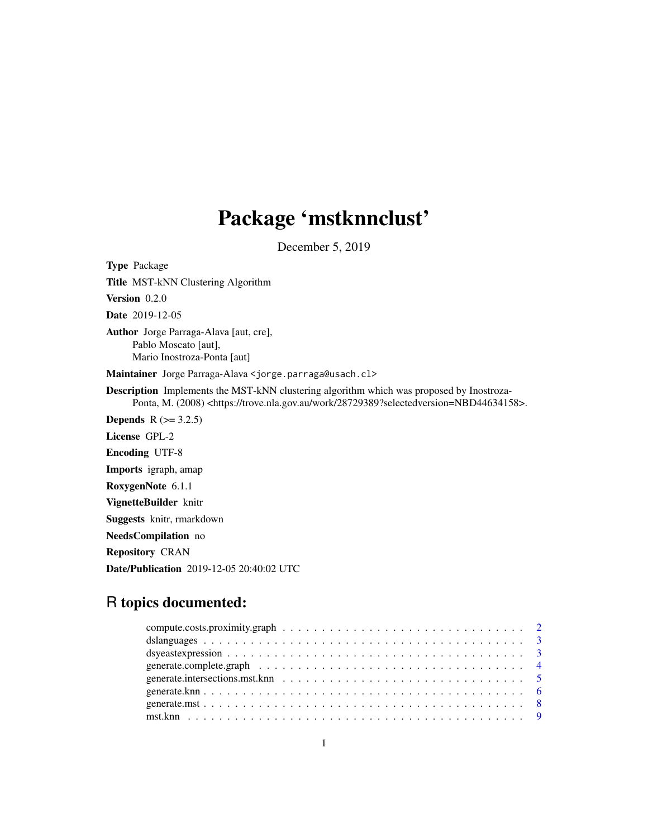## Package 'mstknnclust'

December 5, 2019

Type Package Title MST-kNN Clustering Algorithm Version 0.2.0 Date 2019-12-05 Author Jorge Parraga-Alava [aut, cre], Pablo Moscato [aut], Mario Inostroza-Ponta [aut] Maintainer Jorge Parraga-Alava <jorge.parraga@usach.cl> Description Implements the MST-kNN clustering algorithm which was proposed by Inostroza-Ponta, M. (2008) <https://trove.nla.gov.au/work/28729389?selectedversion=NBD44634158>. **Depends**  $R$  ( $>= 3.2.5$ ) License GPL-2 Encoding UTF-8 Imports igraph, amap RoxygenNote 6.1.1 VignetteBuilder knitr Suggests knitr, rmarkdown NeedsCompilation no Repository CRAN Date/Publication 2019-12-05 20:40:02 UTC

## R topics documented: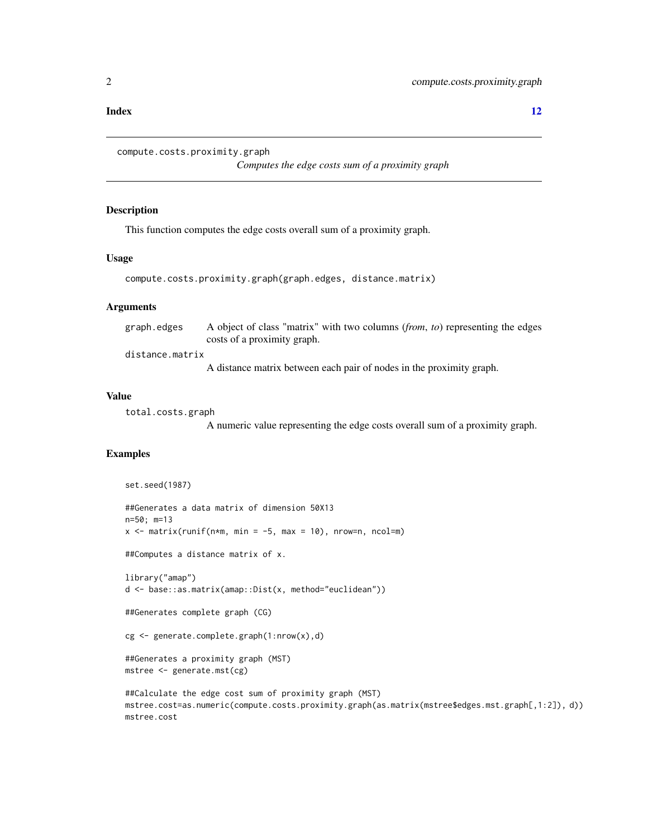#### <span id="page-1-0"></span>**Index** [12](#page-11-0)

```
compute.costs.proximity.graph
```
*Computes the edge costs sum of a proximity graph*

## Description

This function computes the edge costs overall sum of a proximity graph.

## Usage

```
compute.costs.proximity.graph(graph.edges, distance.matrix)
```
## Arguments

| graph.edges     | A object of class "matrix" with two columns ( <i>from, to</i> ) representing the edges |
|-----------------|----------------------------------------------------------------------------------------|
|                 | costs of a proximity graph.                                                            |
| distance.matrix |                                                                                        |

A distance matrix between each pair of nodes in the proximity graph.

## Value

total.costs.graph

A numeric value representing the edge costs overall sum of a proximity graph.

## Examples

```
set.seed(1987)
##Generates a data matrix of dimension 50X13
n=50; m=13
x \le matrix(runif(n*m, min = -5, max = 10), nrow=n, ncol=m)
##Computes a distance matrix of x.
library("amap")
d <- base::as.matrix(amap::Dist(x, method="euclidean"))
##Generates complete graph (CG)
cg <- generate.complete.graph(1:nrow(x),d)
##Generates a proximity graph (MST)
mstree <- generate.mst(cg)
##Calculate the edge cost sum of proximity graph (MST)
mstree.cost=as.numeric(compute.costs.proximity.graph(as.matrix(mstree$edges.mst.graph[,1:2]), d))
mstree.cost
```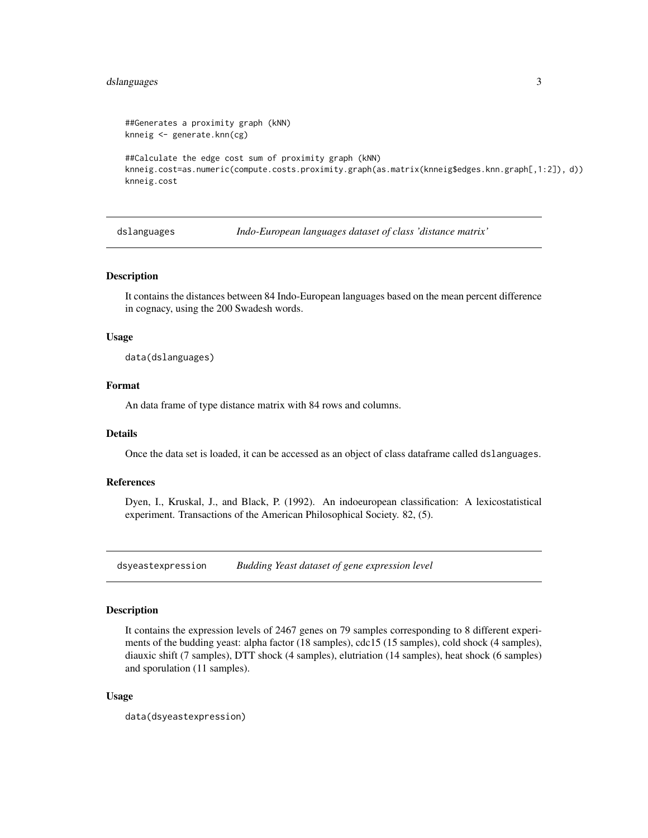## <span id="page-2-0"></span>dslanguages 3

```
##Generates a proximity graph (kNN)
knneig <- generate.knn(cg)
##Calculate the edge cost sum of proximity graph (kNN)
knneig.cost=as.numeric(compute.costs.proximity.graph(as.matrix(knneig$edges.knn.graph[,1:2]), d))
knneig.cost
```
dslanguages *Indo-European languages dataset of class 'distance matrix'*

#### Description

It contains the distances between 84 Indo-European languages based on the mean percent difference in cognacy, using the 200 Swadesh words.

## Usage

data(dslanguages)

## Format

An data frame of type distance matrix with 84 rows and columns.

## Details

Once the data set is loaded, it can be accessed as an object of class dataframe called dslanguages.

## References

Dyen, I., Kruskal, J., and Black, P. (1992). An indoeuropean classification: A lexicostatistical experiment. Transactions of the American Philosophical Society. 82, (5).

dsyeastexpression *Budding Yeast dataset of gene expression level*

## Description

It contains the expression levels of 2467 genes on 79 samples corresponding to 8 different experiments of the budding yeast: alpha factor (18 samples), cdc15 (15 samples), cold shock (4 samples), diauxic shift (7 samples), DTT shock (4 samples), elutriation (14 samples), heat shock (6 samples) and sporulation (11 samples).

## Usage

```
data(dsyeastexpression)
```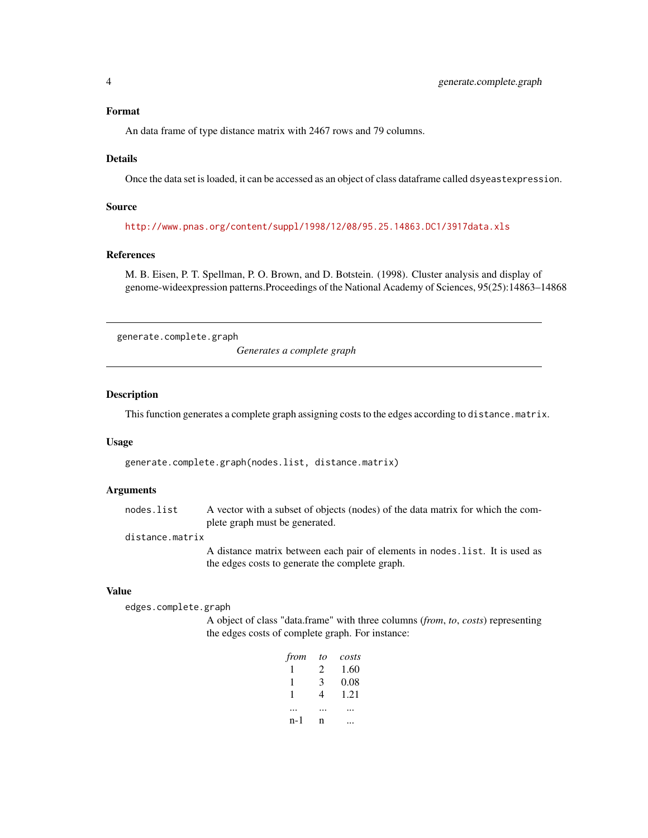#### <span id="page-3-0"></span>Format

An data frame of type distance matrix with 2467 rows and 79 columns.

#### Details

Once the data set is loaded, it can be accessed as an object of class dataframe called dsyeastexpression.

## Source

<http://www.pnas.org/content/suppl/1998/12/08/95.25.14863.DC1/3917data.xls>

#### References

M. B. Eisen, P. T. Spellman, P. O. Brown, and D. Botstein. (1998). Cluster analysis and display of genome-wideexpression patterns.Proceedings of the National Academy of Sciences, 95(25):14863–14868

generate.complete.graph

*Generates a complete graph*

## Description

This function generates a complete graph assigning costs to the edges according to distance.matrix.

#### Usage

generate.complete.graph(nodes.list, distance.matrix)

## Arguments

nodes. list A vector with a subset of objects (nodes) of the data matrix for which the complete graph must be generated.

## distance.matrix

A distance matrix between each pair of elements in nodes.list. It is used as the edges costs to generate the complete graph.

#### Value

edges.complete.graph

A object of class "data.frame" with three columns (*from*, *to*, *costs*) representing the edges costs of complete graph. For instance:

| from | to | costs |
|------|----|-------|
|      | 2  | 1.60  |
| 1    | 3  | 0.08  |
| 1    | 4  | 1.21  |
|      |    |       |
| n-1  | n  |       |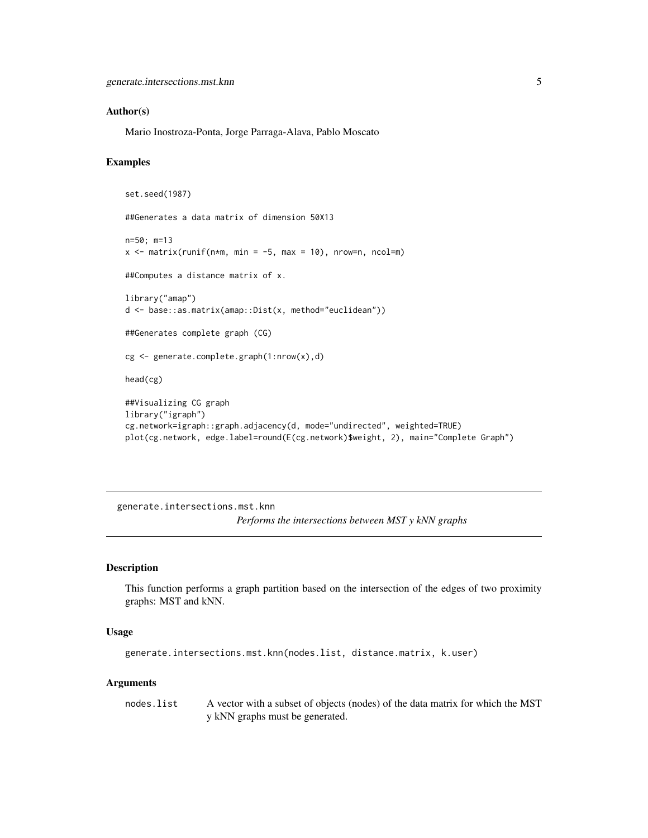## <span id="page-4-0"></span>Author(s)

Mario Inostroza-Ponta, Jorge Parraga-Alava, Pablo Moscato

## Examples

```
set.seed(1987)
##Generates a data matrix of dimension 50X13
n=50; m=13
x \le - matrix(runif(n*m, min = -5, max = 10), nrow=n, ncol=m)
##Computes a distance matrix of x.
library("amap")
d <- base::as.matrix(amap::Dist(x, method="euclidean"))
##Generates complete graph (CG)
cg <- generate.complete.graph(1:nrow(x),d)
head(cg)
##Visualizing CG graph
library("igraph")
cg.network=igraph::graph.adjacency(d, mode="undirected", weighted=TRUE)
plot(cg.network, edge.label=round(E(cg.network)$weight, 2), main="Complete Graph")
```
generate.intersections.mst.knn *Performs the intersections between MST y kNN graphs*

#### Description

This function performs a graph partition based on the intersection of the edges of two proximity graphs: MST and kNN.

## Usage

generate.intersections.mst.knn(nodes.list, distance.matrix, k.user)

## Arguments

nodes. list A vector with a subset of objects (nodes) of the data matrix for which the MST y kNN graphs must be generated.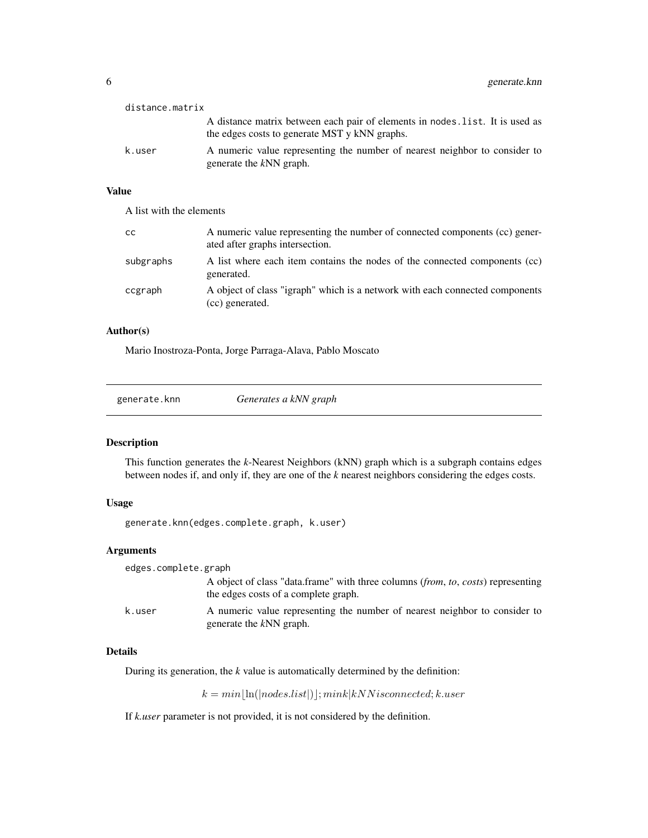<span id="page-5-0"></span>

| distance.matrix |                                                                                                                                |
|-----------------|--------------------------------------------------------------------------------------------------------------------------------|
|                 | A distance matrix between each pair of elements in nodes. list. It is used as<br>the edges costs to generate MST y kNN graphs. |
| k.user          | A numeric value representing the number of nearest neighbor to consider to<br>generate the kNN graph.                          |

## Value

A list with the elements

| <b>CC</b> | A numeric value representing the number of connected components (cc) gener-<br>ated after graphs intersection. |
|-----------|----------------------------------------------------------------------------------------------------------------|
| subgraphs | A list where each item contains the nodes of the connected components (cc)<br>generated.                       |
| ccgraph   | A object of class "igraph" which is a network with each connected components<br>(cc) generated.                |

## Author(s)

Mario Inostroza-Ponta, Jorge Parraga-Alava, Pablo Moscato

generate.knn *Generates a kNN graph*

## Description

This function generates the *k*-Nearest Neighbors (kNN) graph which is a subgraph contains edges between nodes if, and only if, they are one of the *k* nearest neighbors considering the edges costs.

## Usage

generate.knn(edges.complete.graph, k.user)

## Arguments

| edges.complete.graph |                                                                                                                          |
|----------------------|--------------------------------------------------------------------------------------------------------------------------|
|                      | A object of class "data.frame" with three columns (from, to, costs) representing<br>the edges costs of a complete graph. |
| k.user               | A numeric value representing the number of nearest neighbor to consider to<br>generate the kNN graph.                    |

## Details

During its generation, the *k* value is automatically determined by the definition:

 $k = min[\ln(|nodes.list|)]; mink|kNN is connected; k.user$ 

If *k.user* parameter is not provided, it is not considered by the definition.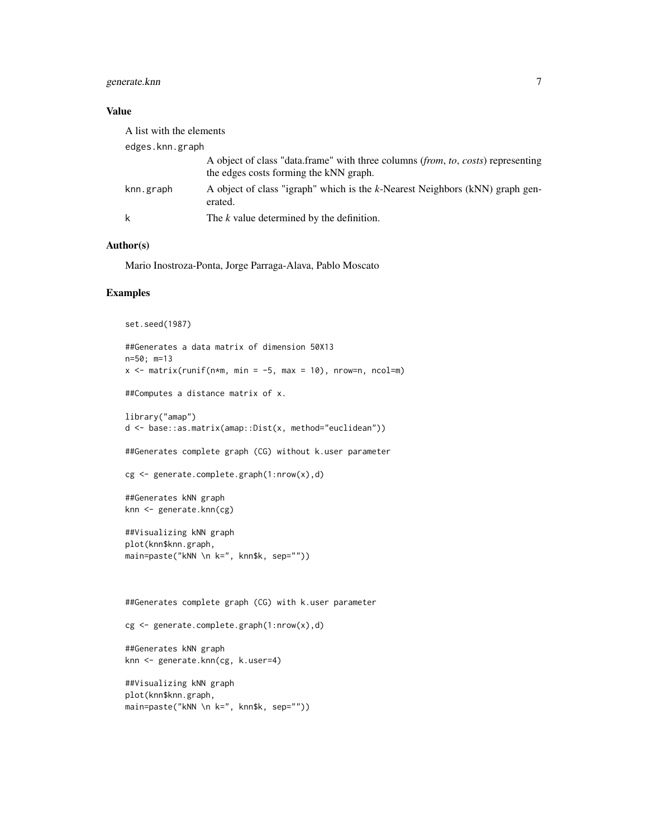## generate.knn 7

## Value

| A list with the elements |                                                                                                                            |
|--------------------------|----------------------------------------------------------------------------------------------------------------------------|
| edges.knn.graph          |                                                                                                                            |
|                          | A object of class "data.frame" with three columns (from, to, costs) representing<br>the edges costs forming the kNN graph. |
| knn.graph                | A object of class "igraph" which is the k-Nearest Neighbors (kNN) graph gen-<br>erated.                                    |
|                          | The k value determined by the definition.                                                                                  |

## Author(s)

Mario Inostroza-Ponta, Jorge Parraga-Alava, Pablo Moscato

#### Examples

```
set.seed(1987)
##Generates a data matrix of dimension 50X13
n=50; m=13
x \le - matrix(runif(n*m, min = -5, max = 10), nrow=n, ncol=m)
##Computes a distance matrix of x.
library("amap")
d <- base::as.matrix(amap::Dist(x, method="euclidean"))
##Generates complete graph (CG) without k.user parameter
cg <- generate.complete.graph(1:nrow(x),d)
##Generates kNN graph
knn <- generate.knn(cg)
##Visualizing kNN graph
plot(knn$knn.graph,
main=paste("kNN \n k=", knn$k, sep=""))
##Generates complete graph (CG) with k.user parameter
cg <- generate.complete.graph(1:nrow(x),d)
##Generates kNN graph
knn <- generate.knn(cg, k.user=4)
##Visualizing kNN graph
plot(knn$knn.graph,
main=paste("kNN \n k=", knn$k, sep=""))
```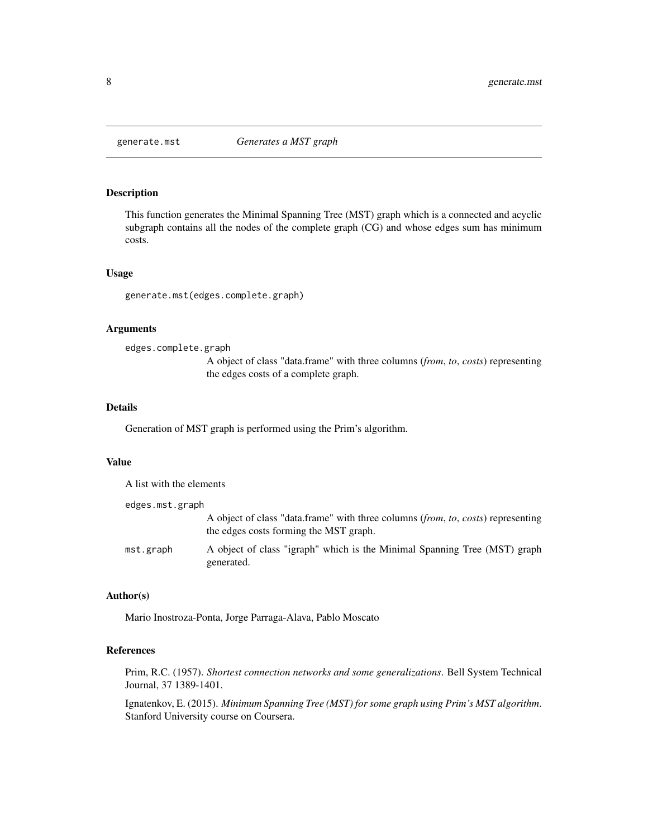<span id="page-7-0"></span>

## Description

This function generates the Minimal Spanning Tree (MST) graph which is a connected and acyclic subgraph contains all the nodes of the complete graph (CG) and whose edges sum has minimum costs.

#### Usage

generate.mst(edges.complete.graph)

## Arguments

edges.complete.graph

A object of class "data.frame" with three columns (*from*, *to*, *costs*) representing the edges costs of a complete graph.

## Details

Generation of MST graph is performed using the Prim's algorithm.

## Value

A list with the elements

| edges.mst.graph |                                                                                                                            |
|-----------------|----------------------------------------------------------------------------------------------------------------------------|
|                 | A object of class "data.frame" with three columns (from, to, costs) representing<br>the edges costs forming the MST graph. |
| mst.graph       | A object of class "igraph" which is the Minimal Spanning Tree (MST) graph<br>generated.                                    |

#### Author(s)

Mario Inostroza-Ponta, Jorge Parraga-Alava, Pablo Moscato

## References

Prim, R.C. (1957). *Shortest connection networks and some generalizations*. Bell System Technical Journal, 37 1389-1401.

Ignatenkov, E. (2015). *Minimum Spanning Tree (MST) for some graph using Prim's MST algorithm*. Stanford University course on Coursera.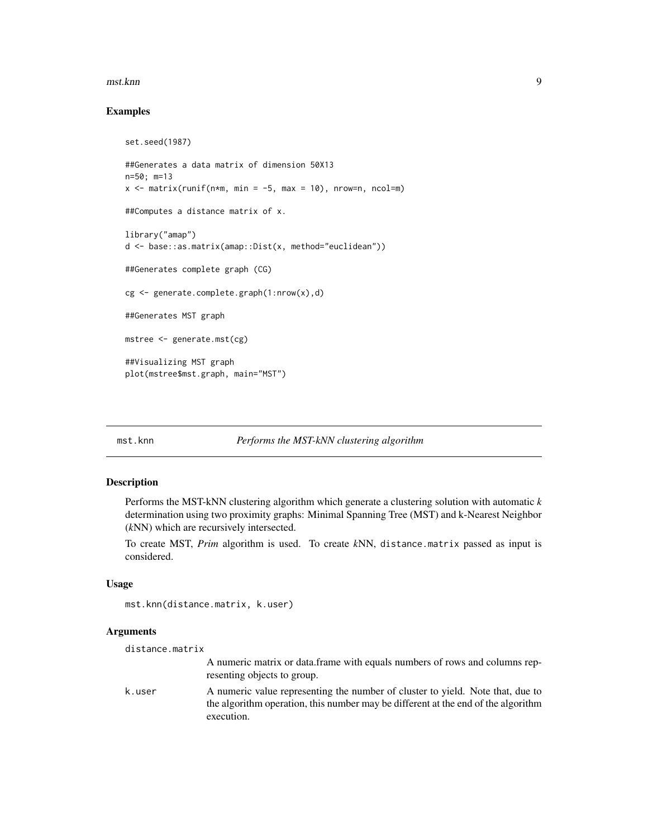#### <span id="page-8-0"></span>mst.knn 9

## Examples

```
set.seed(1987)
##Generates a data matrix of dimension 50X13
n=50; m=13
x \le - matrix(runif(n*m, min = -5, max = 10), nrow=n, ncol=m)
##Computes a distance matrix of x.
library("amap")
d <- base::as.matrix(amap::Dist(x, method="euclidean"))
##Generates complete graph (CG)
cg <- generate.complete.graph(1:nrow(x),d)
##Generates MST graph
mstree <- generate.mst(cg)
##Visualizing MST graph
plot(mstree$mst.graph, main="MST")
```
#### mst.knn *Performs the MST-kNN clustering algorithm*

## Description

Performs the MST-kNN clustering algorithm which generate a clustering solution with automatic *k* determination using two proximity graphs: Minimal Spanning Tree (MST) and k-Nearest Neighbor (*k*NN) which are recursively intersected.

To create MST, *Prim* algorithm is used. To create *k*NN, distance.matrix passed as input is considered.

## Usage

```
mst.knn(distance.matrix, k.user)
```
#### **Arguments**

```
distance.matrix
                  A numeric matrix or data.frame with equals numbers of rows and columns rep-
                  resenting objects to group.
k.user A numeric value representing the number of cluster to yield. Note that, due to
                  the algorithm operation, this number may be different at the end of the algorithm
                  execution.
```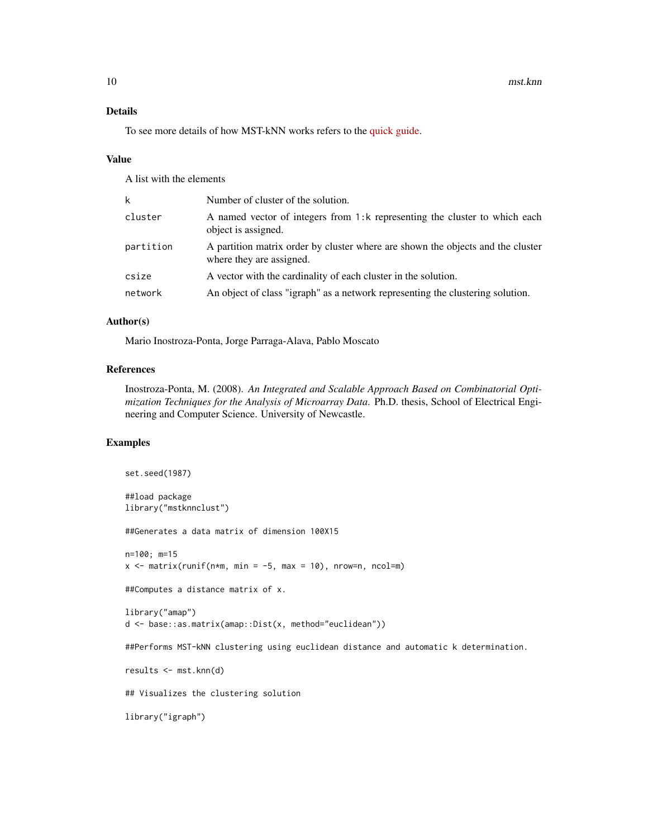## Details

To see more details of how MST-kNN works refers to the [quick guide.](../doc/guide.html)

#### Value

A list with the elements

| k         | Number of cluster of the solution.                                                                          |
|-----------|-------------------------------------------------------------------------------------------------------------|
| cluster   | A named vector of integers from 1:k representing the cluster to which each<br>object is assigned.           |
| partition | A partition matrix order by cluster where are shown the objects and the cluster<br>where they are assigned. |
| csize     | A vector with the cardinality of each cluster in the solution.                                              |
| network   | An object of class "igraph" as a network representing the clustering solution.                              |
|           |                                                                                                             |

## Author(s)

Mario Inostroza-Ponta, Jorge Parraga-Alava, Pablo Moscato

## References

Inostroza-Ponta, M. (2008). *An Integrated and Scalable Approach Based on Combinatorial Optimization Techniques for the Analysis of Microarray Data*. Ph.D. thesis, School of Electrical Engineering and Computer Science. University of Newcastle.

## Examples

```
set.seed(1987)
##load package
library("mstknnclust")
##Generates a data matrix of dimension 100X15
n=100; m=15
x \le - matrix(runif(n*m, min = -5, max = 10), nrow=n, ncol=m)
##Computes a distance matrix of x.
library("amap")
d <- base::as.matrix(amap::Dist(x, method="euclidean"))
##Performs MST-kNN clustering using euclidean distance and automatic k determination.
results <- mst.knn(d)
## Visualizes the clustering solution
```
library("igraph")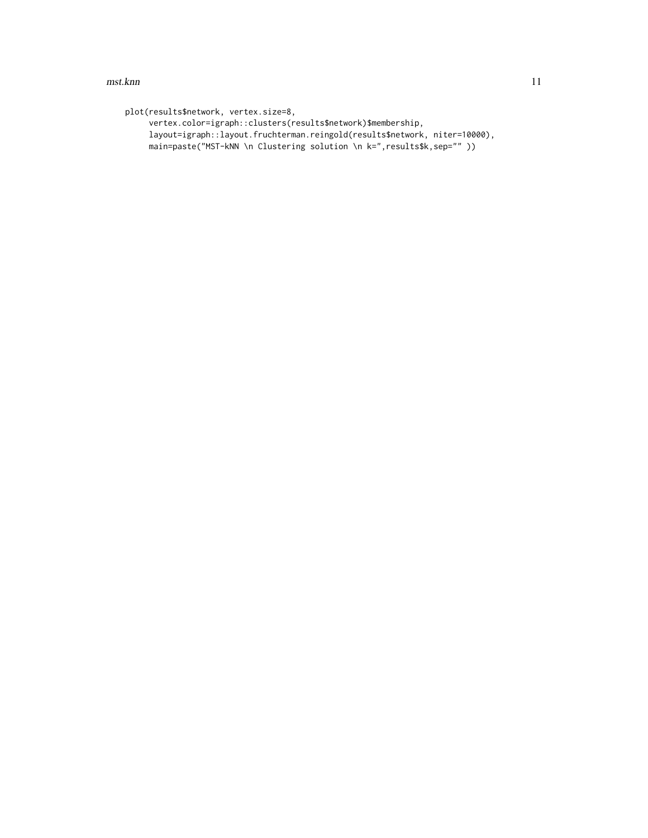#### mst.knn **11**

```
plot(results$network, vertex.size=8,
    vertex.color=igraph::clusters(results$network)$membership,
     layout=igraph::layout.fruchterman.reingold(results$network, niter=10000),
    main=paste("MST-kNN \n Clustering solution \n k=", results$k, sep="" ))
```